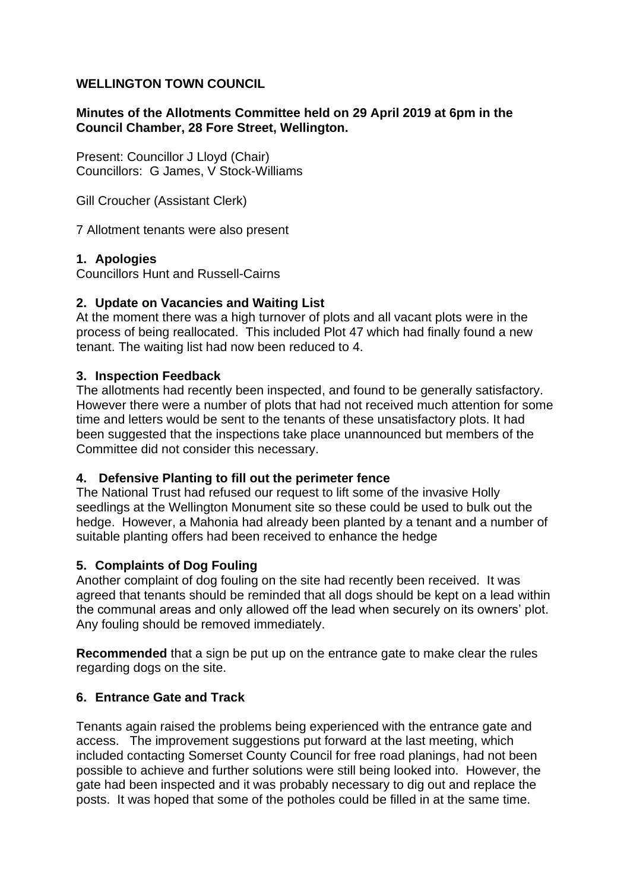## **WELLINGTON TOWN COUNCIL**

### **Minutes of the Allotments Committee held on 29 April 2019 at 6pm in the Council Chamber, 28 Fore Street, Wellington.**

Present: Councillor J Lloyd (Chair) Councillors: G James, V Stock-Williams

Gill Croucher (Assistant Clerk)

7 Allotment tenants were also present

## **1. Apologies**

Councillors Hunt and Russell-Cairns

## **2. Update on Vacancies and Waiting List**

At the moment there was a high turnover of plots and all vacant plots were in the process of being reallocated. This included Plot 47 which had finally found a new tenant. The waiting list had now been reduced to 4.

## **3. Inspection Feedback**

The allotments had recently been inspected, and found to be generally satisfactory. However there were a number of plots that had not received much attention for some time and letters would be sent to the tenants of these unsatisfactory plots. It had been suggested that the inspections take place unannounced but members of the Committee did not consider this necessary.

#### **4. Defensive Planting to fill out the perimeter fence**

The National Trust had refused our request to lift some of the invasive Holly seedlings at the Wellington Monument site so these could be used to bulk out the hedge. However, a Mahonia had already been planted by a tenant and a number of suitable planting offers had been received to enhance the hedge

# **5. Complaints of Dog Fouling**

Another complaint of dog fouling on the site had recently been received. It was agreed that tenants should be reminded that all dogs should be kept on a lead within the communal areas and only allowed off the lead when securely on its owners' plot. Any fouling should be removed immediately.

**Recommended** that a sign be put up on the entrance gate to make clear the rules regarding dogs on the site.

# **6. Entrance Gate and Track**

Tenants again raised the problems being experienced with the entrance gate and access. The improvement suggestions put forward at the last meeting, which included contacting Somerset County Council for free road planings, had not been possible to achieve and further solutions were still being looked into. However, the gate had been inspected and it was probably necessary to dig out and replace the posts. It was hoped that some of the potholes could be filled in at the same time.